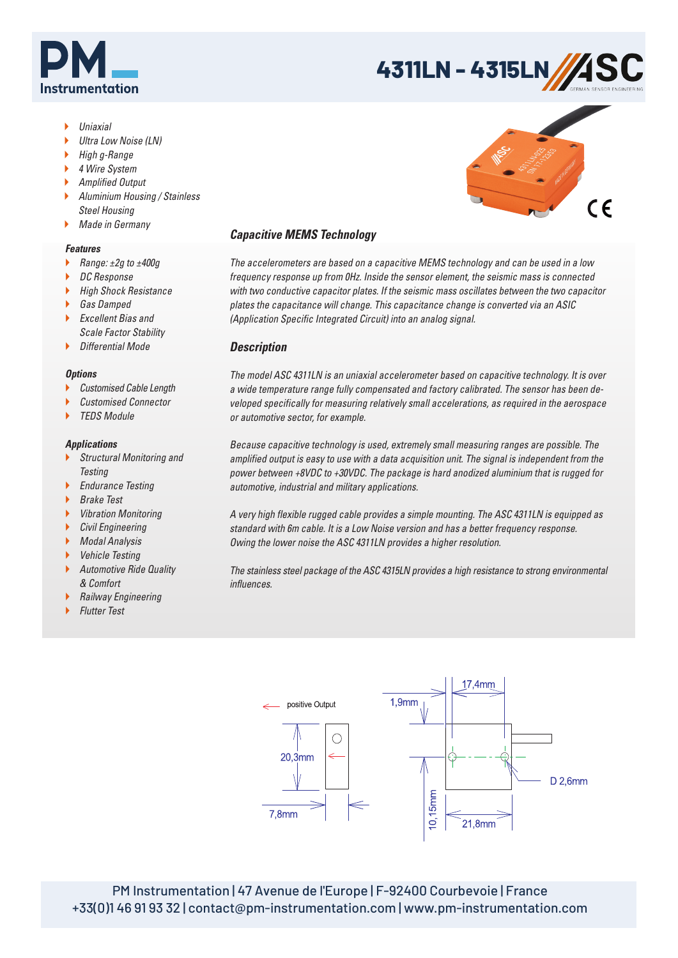

# **4311LN - 4315LN**

- Uniaxial
- Ultra Low Noise (LN)
- High g-Range
- ▶ 4 Wire System
- ▶ Amplified Output
- Aluminium Housing / Stainless Steel Housing
- **Made in Germany**

### *Features*

- ▶ Range: ±2g to ±400g
- ▶ DC Response
- **High Shock Resistance**
- ▶ Gas Damped
- Excellent Bias and Scale Factor Stability
- **Differential Mode**

### *Options*

- Customised Cable Length
- Customised Connector
- TEDS Module

## *Applications*

- Structural Monitoring and **Testing**
- ▶ Endurance Testing
- ▶ Brake Test
- **Vibration Monitoring**
- **Civil Engineering**
- **Modal Analysis**
- Vehicle Testing
- Automotive Ride Quality & Comfort
- **Railway Engineering**
- **Flutter Test**

## *Capacitive MEMS Technology*

The accelerometers are based on a capacitive MEMS technology and can be used in a low frequency response up from 0Hz. Inside the sensor element, the seismic mass is connected with two conductive capacitor plates. If the seismic mass oscillates between the two capacitor plates the capacitance will change. This capacitance change is converted via an ASIC (Application Specific Integrated Circuit) into an analog signal.

## *Description*

The model ASC 4311LN is an uniaxial accelerometer based on capacitive technology. It is over a wide temperature range fully compensated and factory calibrated. The sensor has been developed specifically for measuring relatively small accelerations, as required in the aerospace or automotive sector, for example.

Because capacitive technology is used, extremely small measuring ranges are possible. The amplified output is easy to use with a data acquisition unit. The signal is independent from the power between +8VDC to +30VDC. The package is hard anodized aluminium that is rugged for automotive, industrial and military applications.

A very high flexible rugged cable provides a simple mounting. The ASC 4311LN is equipped as standard with 6m cable. It is a Low Noise version and has a better frequency response. Owing the lower noise the ASC 4311LN provides a higher resolution.

The stainless steel package of the ASC 4315LN provides a high resistance to strong environmental influences.



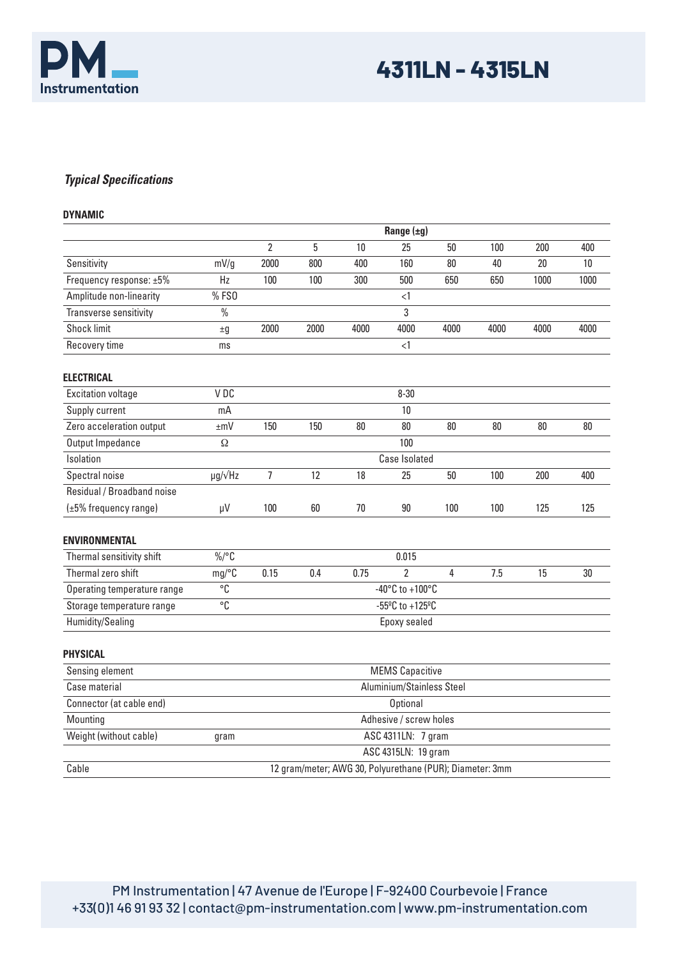

## *Typical Specifications*

| <b>DYNAMIC</b>              |                                                          |                                       |      |      |                     |      |      |      |                 |
|-----------------------------|----------------------------------------------------------|---------------------------------------|------|------|---------------------|------|------|------|-----------------|
|                             | Range $(\pm g)$                                          |                                       |      |      |                     |      |      |      |                 |
|                             |                                                          | $\overline{2}$                        | 5    | 10   | 25                  | 50   | 100  | 200  | 400             |
| Sensitivity                 | mV/g                                                     | 2000                                  | 800  | 400  | 160                 | 80   | 40   | 20   | 10 <sup>°</sup> |
| Frequency response: ±5%     | Hz                                                       | 100                                   | 100  | 300  | 500                 | 650  | 650  | 1000 | 1000            |
| Amplitude non-linearity     | %FS0                                                     |                                       |      |      | <1                  |      |      |      |                 |
| Transverse sensitivity      | $\frac{0}{0}$                                            |                                       |      |      | 3                   |      |      |      |                 |
| <b>Shock limit</b>          | ±9                                                       | 2000                                  | 2000 | 4000 | 4000                | 4000 | 4000 | 4000 | 4000            |
| Recovery time               | ms                                                       |                                       |      |      | $\leq$ 1            |      |      |      |                 |
| <b>ELECTRICAL</b>           |                                                          |                                       |      |      |                     |      |      |      |                 |
| <b>Excitation voltage</b>   | V DC                                                     | $8 - 30$                              |      |      |                     |      |      |      |                 |
| Supply current              | mA                                                       |                                       |      |      | 10                  |      |      |      |                 |
| Zero acceleration output    | $\pm mV$                                                 | 150                                   | 150  | 80   | 80                  | 80   | 80   | 80   | 80              |
| Output Impedance            | Ω                                                        |                                       |      |      | 100                 |      |      |      |                 |
| Isolation                   |                                                          | Case Isolated                         |      |      |                     |      |      |      |                 |
| Spectral noise              | $\mu$ g/ $\sqrt{Hz}$                                     | $\overline{7}$                        | 12   | 18   | 25                  | 50   | 100  | 200  | 400             |
| Residual / Broadband noise  |                                                          |                                       |      |      |                     |      |      |      |                 |
| (±5% frequency range)       | μV                                                       | 100                                   | 60   | 70   | $90\,$              | 100  | 100  | 125  | 125             |
| <b>ENVIRONMENTAL</b>        |                                                          |                                       |      |      |                     |      |      |      |                 |
| Thermal sensitivity shift   | $\%$ /°C                                                 | 0.015                                 |      |      |                     |      |      |      |                 |
| Thermal zero shift          | mg/C                                                     | 0.15                                  | 0.4  | 0.75 | $\overline{2}$      | 4    | 7.5  | 15   | 30              |
| Operating temperature range | $\overline{C}$                                           | -40 $^{\circ}$ C to +100 $^{\circ}$ C |      |      |                     |      |      |      |                 |
| Storage temperature range   | °C                                                       | $-55^{\circ}$ C to $+125^{\circ}$ C   |      |      |                     |      |      |      |                 |
| Humidity/Sealing            |                                                          | Epoxy sealed                          |      |      |                     |      |      |      |                 |
| <b>PHYSICAL</b>             |                                                          |                                       |      |      |                     |      |      |      |                 |
| Sensing element             | <b>MEMS Capacitive</b>                                   |                                       |      |      |                     |      |      |      |                 |
| Case material               | Aluminium/Stainless Steel                                |                                       |      |      |                     |      |      |      |                 |
| Connector (at cable end)    |                                                          |                                       |      |      | <b>Optional</b>     |      |      |      |                 |
| Mounting                    | Adhesive / screw holes                                   |                                       |      |      |                     |      |      |      |                 |
| Weight (without cable)      | ASC 4311LN: 7 gram<br>gram                               |                                       |      |      |                     |      |      |      |                 |
|                             |                                                          |                                       |      |      | ASC 4315LN: 19 gram |      |      |      |                 |
| Cable                       | 12 gram/meter; AWG 30, Polyurethane (PUR); Diameter: 3mm |                                       |      |      |                     |      |      |      |                 |

PM Instrumentation | 47 Avenue de l'Europe | F-92400 Courbevoie | France +33(0)1 46 91 93 32 | contact@pm-instrumentation.com | www.pm-instrumentation.com